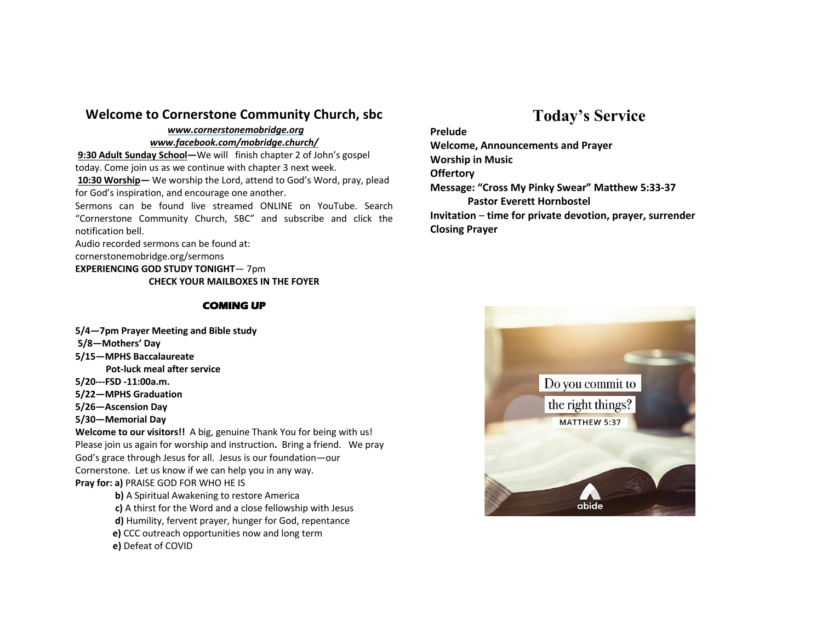### **Welcome to Cornerstone Community Church, sbc**

#### *www.cornerstonemobridge.org*

#### *www.facebook.com/mobridge.church/*

**9:30 Adult Sunday School—**We will finish chapter 2 of John's gospel today. Come join us as we continue with chapter 3 next week. **10:30 Worship—** We worship the Lord, attend to God's Word, pray, plead for God's inspiration, and encourage one another.

Sermons can be found live streamed ONLINE on YouTube. Search "Cornerstone Community Church, SBC" and subscribe and click the notification bell.

Audio recorded sermons can be found at:

cornerstonemobridge.org/sermons

**EXPERIENCING GOD STUDY TONIGHT**— 7pm

**CHECK YOUR MAILBOXES IN THE FOYER**

#### **COMING UP**

#### **5/4—7pm Prayer Meeting and Bible study**

- **5/8—Mothers' Day**
- **5/15—MPHS Baccalaureate**

 **Pot-luck meal after service**

- **5/20---FSD -11:00a.m.**
- **5/22—MPHS Graduation**
- **5/26—Ascension Day**
- **5/30—Memorial Day**

**Welcome to our visitors!!** A big, genuine Thank You for being with us! Please join us again for worship and instruction**.** Bring a friend. We pray God's grace through Jesus for all. Jesus is our foundation—our Cornerstone. Let us know if we can help you in any way. **Pray for: a)** PRAISE GOD FOR WHO HE IS

- **b)** A Spiritual Awakening to restore America
- **c)** A thirst for the Word and a close fellowship with Jesus
- **d)** Humility, fervent prayer, hunger for God, repentance
- **e)** CCC outreach opportunities now and long term
- **e)** Defeat of COVID

# **Today's Service**

#### **Prelude**

**Welcome, Announcements and Prayer Worship in Music Offertory Message: "Cross My Pinky Swear" Matthew 5:33-37 Pastor Everett Hornbostel Invitation** – **time for private devotion, prayer, surrender Closing Prayer**